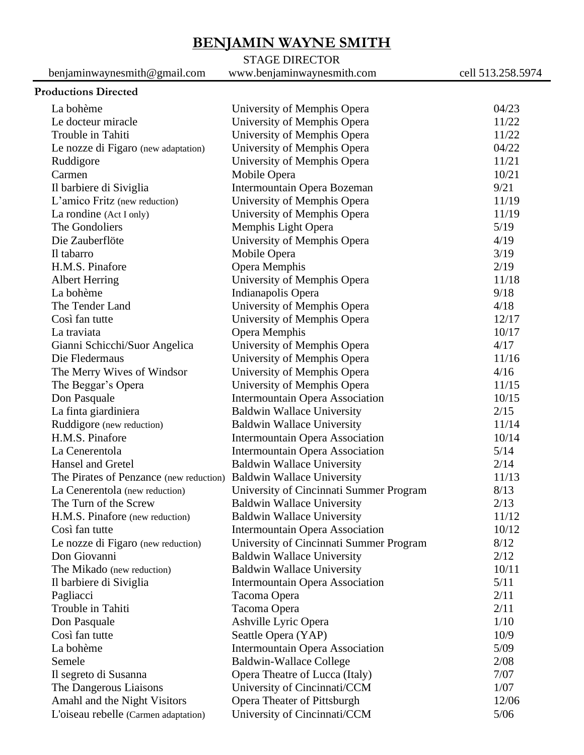# **BENJAMIN WAYNE SMITH**

## STAGE DIRECTOR

benjaminwaynesmith@gmail.com www.benjaminwaynesmith.com cell 513.258.5974

### **Productions Directed**

| La bohème                               | University of Memphis Opera             | 04/23  |
|-----------------------------------------|-----------------------------------------|--------|
| Le docteur miracle                      | University of Memphis Opera             | 11/22  |
| Trouble in Tahiti                       | University of Memphis Opera             | 11/22  |
| Le nozze di Figaro (new adaptation)     | University of Memphis Opera             | 04/22  |
| Ruddigore                               | University of Memphis Opera             | 11/21  |
| Carmen                                  | Mobile Opera                            | 10/21  |
| Il barbiere di Siviglia                 | Intermountain Opera Bozeman             | 9/21   |
| L'amico Fritz (new reduction)           | University of Memphis Opera             | 11/19  |
| La rondine (Act I only)                 | University of Memphis Opera             | 11/19  |
| The Gondoliers                          | Memphis Light Opera                     | 5/19   |
| Die Zauberflöte                         | University of Memphis Opera             | 4/19   |
| Il tabarro                              | Mobile Opera                            | 3/19   |
| H.M.S. Pinafore                         | Opera Memphis                           | 2/19   |
| <b>Albert Herring</b>                   | University of Memphis Opera             | 11/18  |
| La bohème                               | Indianapolis Opera                      | 9/18   |
| The Tender Land                         | University of Memphis Opera             | 4/18   |
| Così fan tutte                          | University of Memphis Opera             | 12/17  |
| La traviata                             | Opera Memphis                           | 10/17  |
| Gianni Schicchi/Suor Angelica           | University of Memphis Opera             | 4/17   |
| Die Fledermaus                          | University of Memphis Opera             | 11/16  |
| The Merry Wives of Windsor              | University of Memphis Opera             | 4/16   |
| The Beggar's Opera                      | University of Memphis Opera             | 11/15  |
| Don Pasquale                            | Intermountain Opera Association         | 10/15  |
| La finta giardiniera                    | <b>Baldwin Wallace University</b>       | 2/15   |
| Ruddigore (new reduction)               | <b>Baldwin Wallace University</b>       | 11/14  |
| H.M.S. Pinafore                         | Intermountain Opera Association         | 10/14  |
| La Cenerentola                          | <b>Intermountain Opera Association</b>  | 5/14   |
| Hansel and Gretel                       | <b>Baldwin Wallace University</b>       | 2/14   |
| The Pirates of Penzance (new reduction) | <b>Baldwin Wallace University</b>       | 11/13  |
| La Cenerentola (new reduction)          | University of Cincinnati Summer Program | 8/13   |
| The Turn of the Screw                   | <b>Baldwin Wallace University</b>       | 2/13   |
| H.M.S. Pinafore (new reduction)         | <b>Baldwin Wallace University</b>       | 11/12  |
| Così fan tutte                          | <b>Intermountain Opera Association</b>  | 10/12  |
| Le nozze di Figaro (new reduction)      | University of Cincinnati Summer Program | 8/12   |
| Don Giovanni                            | <b>Baldwin Wallace University</b>       | 2/12   |
| The Mikado (new reduction)              | <b>Baldwin Wallace University</b>       | 10/11  |
| Il barbiere di Siviglia                 | Intermountain Opera Association         | 5/11   |
| Pagliacci                               | Tacoma Opera                            | 2/11   |
| Trouble in Tahiti                       | Tacoma Opera                            | 2/11   |
| Don Pasquale                            | Ashville Lyric Opera                    | 1/10   |
| Così fan tutte                          | Seattle Opera (YAP)                     | 10/9   |
| La bohème                               | Intermountain Opera Association         | 5/09   |
| Semele                                  | <b>Baldwin-Wallace College</b>          | 2/08   |
| Il segreto di Susanna                   | Opera Theatre of Lucca (Italy)          | 7/07   |
| The Dangerous Liaisons                  | University of Cincinnati/CCM            | 1/07   |
| Amahl and the Night Visitors            | Opera Theater of Pittsburgh             | 12/06  |
| L'oiseau rebelle (Carmen adaptation)    | University of Cincinnati/CCM            | $5/06$ |